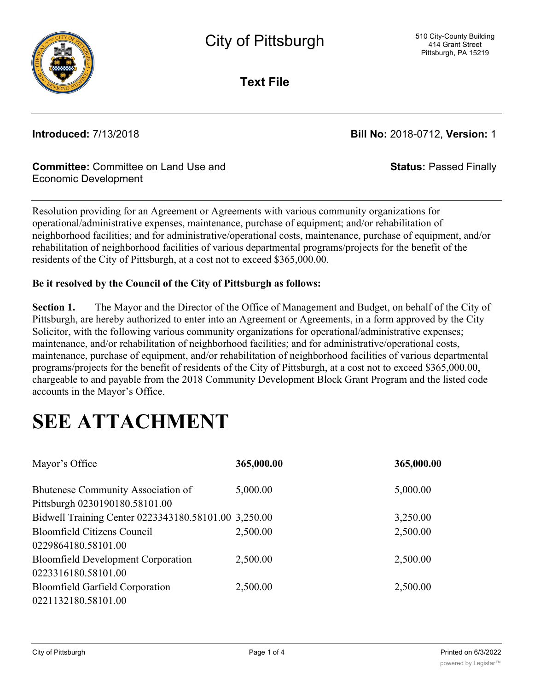

**Text File**

**Introduced:** 7/13/2018 **Bill No:** 2018-0712, **Version:** 1

**Status:** Passed Finally

#### **Committee:** Committee on Land Use and Economic Development

Resolution providing for an Agreement or Agreements with various community organizations for operational/administrative expenses, maintenance, purchase of equipment; and/or rehabilitation of neighborhood facilities; and for administrative/operational costs, maintenance, purchase of equipment, and/or rehabilitation of neighborhood facilities of various departmental programs/projects for the benefit of the residents of the City of Pittsburgh, at a cost not to exceed \$365,000.00.

#### **Be it resolved by the Council of the City of Pittsburgh as follows:**

**Section 1.** The Mayor and the Director of the Office of Management and Budget, on behalf of the City of Pittsburgh, are hereby authorized to enter into an Agreement or Agreements, in a form approved by the City Solicitor, with the following various community organizations for operational/administrative expenses; maintenance, and/or rehabilitation of neighborhood facilities; and for administrative/operational costs, maintenance, purchase of equipment, and/or rehabilitation of neighborhood facilities of various departmental programs/projects for the benefit of residents of the City of Pittsburgh, at a cost not to exceed \$365,000.00, chargeable to and payable from the 2018 Community Development Block Grant Program and the listed code accounts in the Mayor's Office.

# **SEE ATTACHMENT**

| Mayor's Office                                       | 365,000.00 | 365,000.00 |
|------------------------------------------------------|------------|------------|
| Bhutenese Community Association of                   | 5,000.00   | 5,000.00   |
| Pittsburgh 0230190180.58101.00                       |            |            |
| Bidwell Training Center 0223343180.58101.00 3,250.00 |            | 3,250.00   |
| <b>Bloomfield Citizens Council</b>                   | 2,500.00   | 2,500.00   |
| 0229864180.58101.00                                  |            |            |
| <b>Bloomfield Development Corporation</b>            | 2,500.00   | 2,500.00   |
| 0223316180.58101.00                                  |            |            |
| <b>Bloomfield Garfield Corporation</b>               | 2,500.00   | 2,500.00   |
| 0221132180.58101.00                                  |            |            |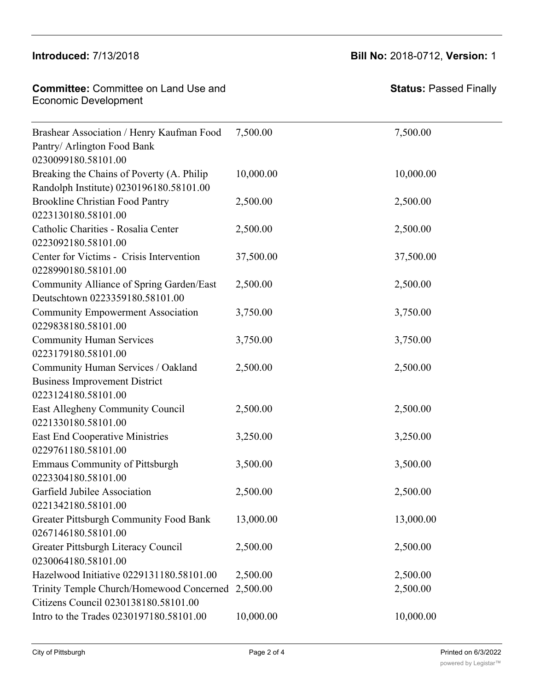#### $B = 2(12)(2010)$  $\frac{1}{2}$

# **Introduced:** 7/13/2018 **Bill No:** 2018-0712, **Version:** 1 2,500.00 2,500.00

| <b>Committee: Committee on Land Use and</b><br><b>Economic Development</b>                        |           | <b>Status: Passed Finally</b> |
|---------------------------------------------------------------------------------------------------|-----------|-------------------------------|
| Brashear Association / Henry Kaufman Food<br>Pantry/ Arlington Food Bank<br>0230099180.58101.00   | 7,500.00  | 7,500.00                      |
| Breaking the Chains of Poverty (A. Philip<br>Randolph Institute) 0230196180.58101.00              | 10,000.00 | 10,000.00                     |
| <b>Brookline Christian Food Pantry</b><br>0223130180.58101.00                                     | 2,500.00  | 2,500.00                      |
| Catholic Charities - Rosalia Center<br>0223092180.58101.00                                        | 2,500.00  | 2,500.00                      |
| Center for Victims - Crisis Intervention<br>0228990180.58101.00                                   | 37,500.00 | 37,500.00                     |
| Community Alliance of Spring Garden/East<br>Deutschtown 0223359180.58101.00                       | 2,500.00  | 2,500.00                      |
| <b>Community Empowerment Association</b><br>0229838180.58101.00                                   | 3,750.00  | 3,750.00                      |
| <b>Community Human Services</b><br>0223179180.58101.00                                            | 3,750.00  | 3,750.00                      |
| Community Human Services / Oakland<br><b>Business Improvement District</b><br>0223124180.58101.00 | 2,500.00  | 2,500.00                      |
| East Allegheny Community Council<br>0221330180.58101.00                                           | 2,500.00  | 2,500.00                      |
| East End Cooperative Ministries<br>0229761180.58101.00                                            | 3,250.00  | 3,250.00                      |
| <b>Emmaus Community of Pittsburgh</b><br>0223304180.58101.00                                      | 3,500.00  | 3,500.00                      |
| Garfield Jubilee Association<br>0221342180.58101.00                                               | 2,500.00  | 2,500.00                      |
| Greater Pittsburgh Community Food Bank<br>0267146180.58101.00                                     | 13,000.00 | 13,000.00                     |
| Greater Pittsburgh Literacy Council<br>0230064180.58101.00                                        | 2,500.00  | 2,500.00                      |
| Hazelwood Initiative 0229131180.58101.00                                                          | 2,500.00  | 2,500.00                      |
| Trinity Temple Church/Homewood Concerned<br>Citizens Council 0230138180.58101.00                  | 2,500.00  | 2,500.00                      |
| Intro to the Trades 0230197180.58101.00                                                           | 10,000.00 | 10,000.00                     |

 $\mathcal{L}(\mathcal{L}(\mathcal{L}(\mathcal{L}(\mathcal{L}(\mathcal{L}(\mathcal{L}(\mathcal{L}(\mathcal{L}(\mathcal{L}(\mathcal{L}(\mathcal{L}(\mathcal{L}(\mathcal{L}(\mathcal{L}(\mathcal{L}(\mathcal{L}(\mathcal{L}(\mathcal{L}(\mathcal{L}(\mathcal{L}(\mathcal{L}(\mathcal{L}(\mathcal{L}(\mathcal{L}(\mathcal{L}(\mathcal{L}(\mathcal{L}(\mathcal{L}(\mathcal{L}(\mathcal{L}(\mathcal{L}(\mathcal{L}(\mathcal{L}(\mathcal{L}(\mathcal{L}(\mathcal{$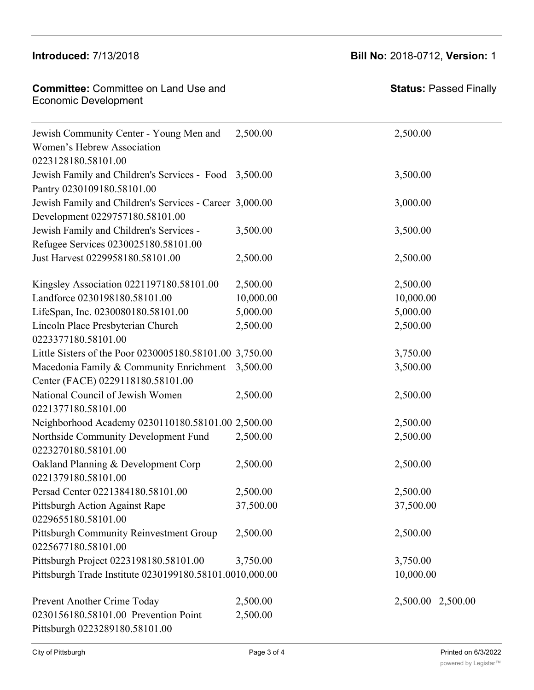#### $Introducing  $q_1, q_2, q_3, q_4, q_5, q_6, q_7, q_8, q_9, q_1, q_2, q_3, q_4, q_7, q_8, q_9, q_1, q_2, q_3, q_4, q_7, q_8, q_9, q_1, q_2, q_3, q_4, q_7, q_8, q_9, q_1, q_2, q_3, q_4, q_7, q_8, q_9, q_1, q_2, q_3, q_4, q_7, q_8, q_9, q_1, q_2, q_3, q_4, q_6, q_7, q_8, q_9, q_1, q_2$$ 0230064180.58101.00

0267146180.58101.00

## **Introduced:** 7/13/2018 **Bill No:** 2018-0712, **Version:** 1 2,500.00 2,500.00

| <b>Committee:</b> Committee on Land Use and |  |
|---------------------------------------------|--|
| <b>Economic Development</b>                 |  |

| Jewish Community Center - Young Men and                 | 2,500.00  | 2,500.00          |
|---------------------------------------------------------|-----------|-------------------|
| Women's Hebrew Association                              |           |                   |
| 0223128180.58101.00                                     |           |                   |
| Jewish Family and Children's Services - Food 3,500.00   |           | 3,500.00          |
| Pantry 0230109180.58101.00                              |           |                   |
| Jewish Family and Children's Services - Career 3,000.00 |           | 3,000.00          |
| Development 0229757180.58101.00                         |           |                   |
| Jewish Family and Children's Services -                 | 3,500.00  | 3,500.00          |
| Refugee Services 0230025180.58101.00                    |           |                   |
| Just Harvest 0229958180.58101.00                        | 2,500.00  | 2,500.00          |
| Kingsley Association 0221197180.58101.00                | 2,500.00  | 2,500.00          |
| Landforce 0230198180.58101.00                           | 10,000.00 | 10,000.00         |
| LifeSpan, Inc. 0230080180.58101.00                      | 5,000.00  | 5,000.00          |
| Lincoln Place Presbyterian Church                       | 2,500.00  | 2,500.00          |
| 0223377180.58101.00                                     |           |                   |
| Little Sisters of the Poor 0230005180.58101.00 3,750.00 |           | 3,750.00          |
| Macedonia Family & Community Enrichment                 | 3,500.00  | 3,500.00          |
| Center (FACE) 0229118180.58101.00                       |           |                   |
| National Council of Jewish Women                        | 2,500.00  | 2,500.00          |
| 0221377180.58101.00                                     |           |                   |
| Neighborhood Academy 0230110180.58101.00 2,500.00       |           | 2,500.00          |
| Northside Community Development Fund                    | 2,500.00  | 2,500.00          |
| 0223270180.58101.00                                     |           |                   |
| Oakland Planning & Development Corp                     | 2,500.00  | 2,500.00          |
| 0221379180.58101.00                                     |           |                   |
| Persad Center 0221384180.58101.00                       | 2,500.00  | 2,500.00          |
| Pittsburgh Action Against Rape                          | 37,500.00 | 37,500.00         |
| 0229655180.58101.00                                     |           |                   |
| Pittsburgh Community Reinvestment Group                 | 2,500.00  | 2,500.00          |
| 0225677180.58101.00                                     |           |                   |
| Pittsburgh Project 0223198180.58101.00                  | 3,750.00  | 3,750.00          |
| Pittsburgh Trade Institute 0230199180.58101.0010,000.00 |           | 10,000.00         |
| Prevent Another Crime Today                             | 2,500.00  | 2,500.00 2,500.00 |
| 0230156180.58101.00 Prevention Point                    | 2,500.00  |                   |
| Pittsburgh 0223289180.58101.00                          |           |                   |